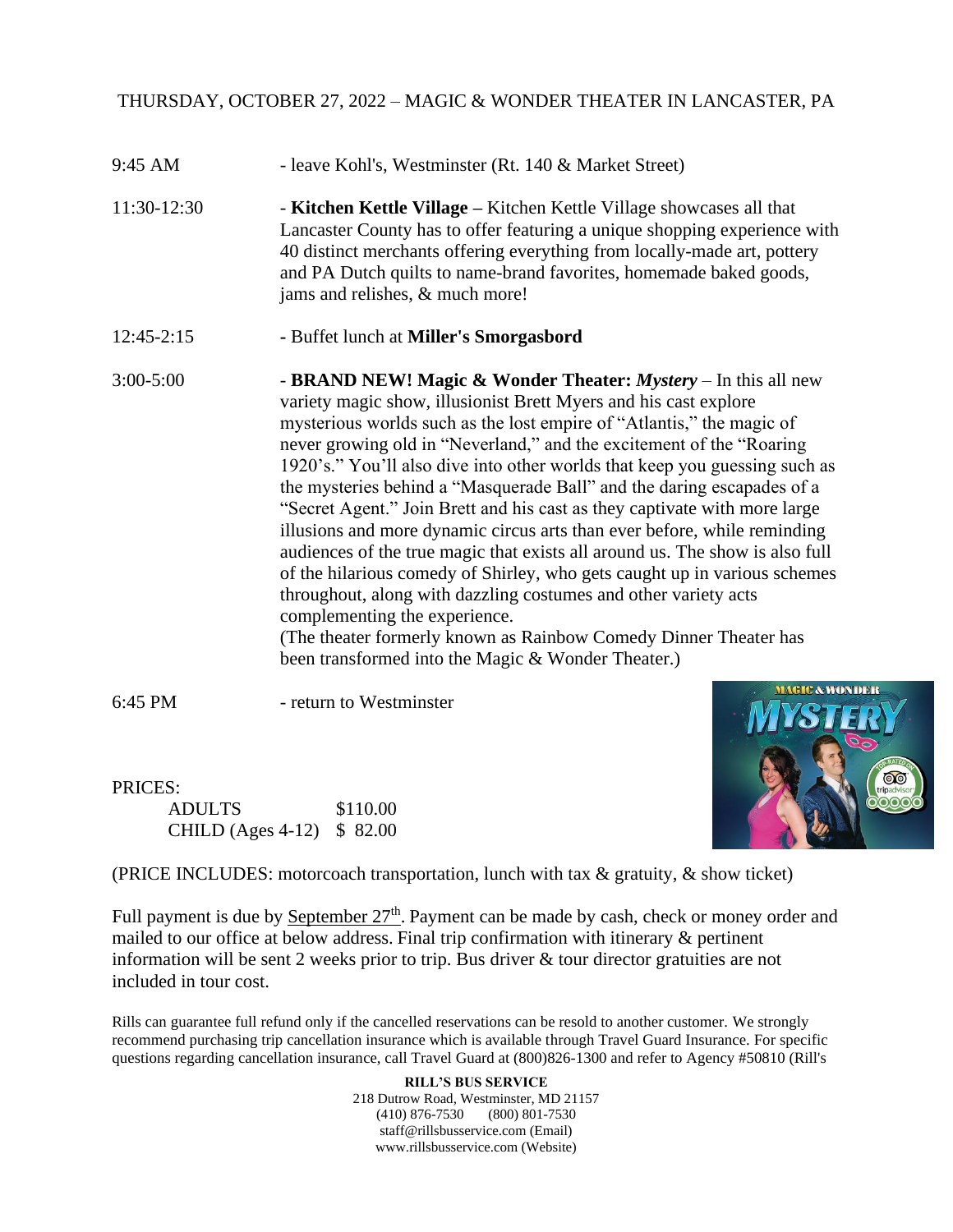## THURSDAY, OCTOBER 27, 2022 – MAGIC & WONDER THEATER IN LANCASTER, PA

- 9:45 AM leave Kohl's, Westminster (Rt. 140 & Market Street)
- 11:30-12:30 **Kitchen Kettle Village –** Kitchen Kettle Village showcases all that Lancaster County has to offer featuring a unique shopping experience with 40 distinct merchants offering everything from locally-made art, pottery and PA Dutch quilts to name-brand favorites, homemade baked goods, jams and relishes, & much more!
- 12:45-2:15 **-** Buffet lunch at **Miller's Smorgasbord**
- 3:00-5:00 **BRAND NEW! Magic & Wonder Theater:** *Mystery* In this all new variety magic show, illusionist Brett Myers and his cast explore mysterious worlds such as the lost empire of "Atlantis," the magic of never growing old in "Neverland," and the excitement of the "Roaring 1920's." You'll also dive into other worlds that keep you guessing such as the mysteries behind a "Masquerade Ball" and the daring escapades of a "Secret Agent." Join Brett and his cast as they captivate with more large illusions and more dynamic circus arts than ever before, while reminding audiences of the true magic that exists all around us. The show is also full of the hilarious comedy of Shirley, who gets caught up in various schemes throughout, along with dazzling costumes and other variety acts complementing the experience. (The theater formerly known as Rainbow Comedy Dinner Theater has been transformed into the Magic & Wonder Theater.)

6:45 PM - return to Westminster

PRICES: ADULTS \$110.00 CHILD (Ages 4-12) \$ 82.00



(PRICE INCLUDES: motorcoach transportation, lunch with tax & gratuity, & show ticket)

Full payment is due by **September 27<sup>th</sup>**. Payment can be made by cash, check or money order and mailed to our office at below address. Final trip confirmation with itinerary & pertinent information will be sent 2 weeks prior to trip. Bus driver & tour director gratuities are not included in tour cost.

Rills can guarantee full refund only if the cancelled reservations can be resold to another customer. We strongly recommend purchasing trip cancellation insurance which is available through Travel Guard Insurance. For specific questions regarding cancellation insurance, call Travel Guard at (800)826-1300 and refer to Agency #50810 (Rill's

> **RILL'S BUS SERVICE** 218 Dutrow Road, Westminster, MD 21157 (410) 876-7530 (800) 801-7530 staff@rillsbusservice.com (Email) www.rillsbusservice.com (Website)